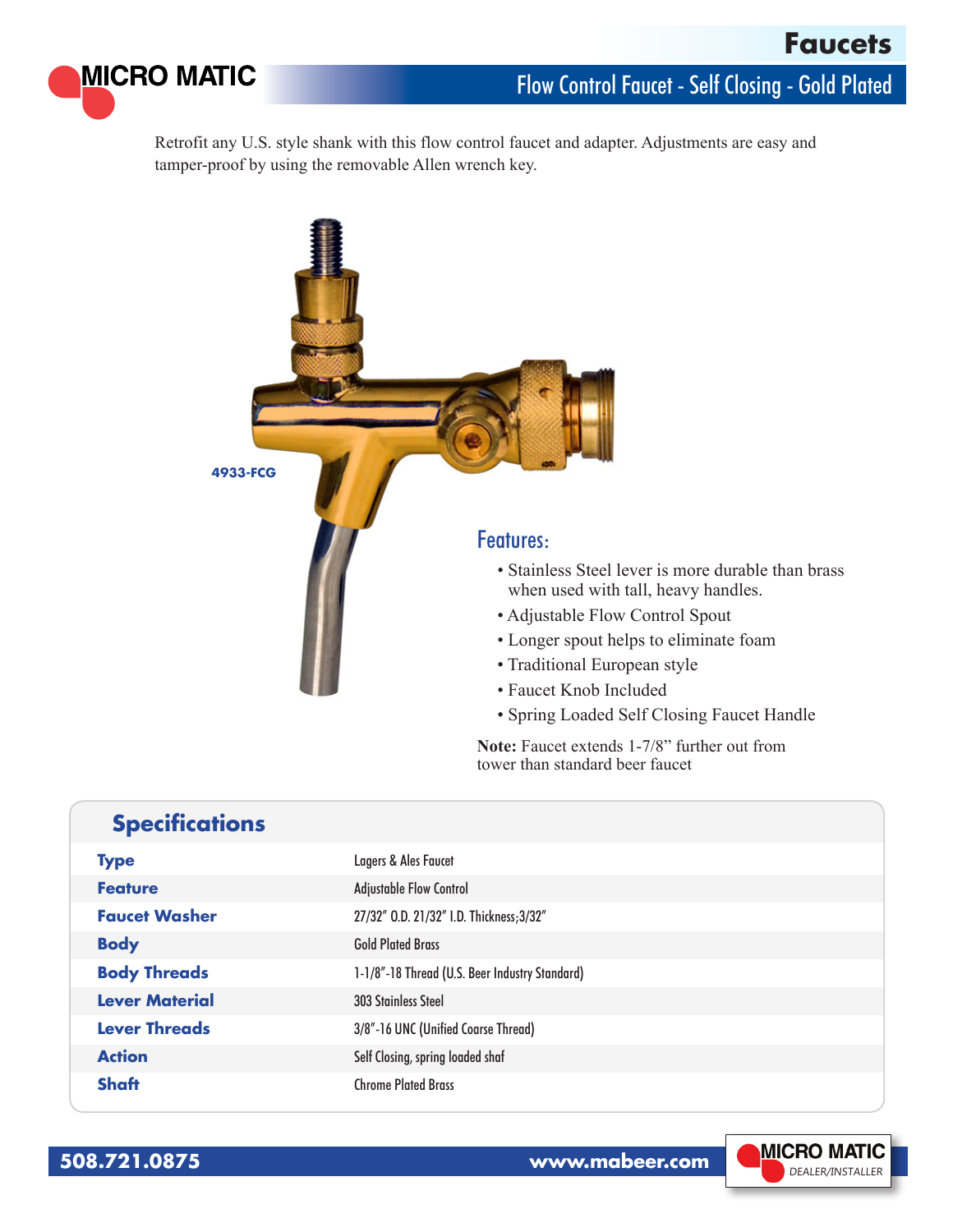

## Flow Control Faucet - Self Closing - Gold Plated

Retrofit any U.S. style shank with this flow control faucet and adapter. Adjustments are easy and tamper-proof by using the removable Allen wrench key.



• Spring Loaded Self Closing Faucet Handle

**Note:** Faucet extends 1-7/8" further out from tower than standard beer faucet

|  |  | <b>Specifications</b> |
|--|--|-----------------------|
|  |  |                       |

| <b>Type</b>           | Lagers & Ales Faucet                           |
|-----------------------|------------------------------------------------|
| <b>Feature</b>        | <b>Adjustable Flow Control</b>                 |
| <b>Faucet Washer</b>  | 27/32" O.D. 21/32" I.D. Thickness; 3/32"       |
| <b>Body</b>           | <b>Gold Plated Brass</b>                       |
| <b>Body Threads</b>   | 1-1/8"-18 Thread (U.S. Beer Industry Standard) |
| <b>Lever Material</b> | <b>303 Stainless Steel</b>                     |
| <b>Lever Threads</b>  | 3/8"-16 UNC (Unified Coarse Thread)            |
| <b>Action</b>         | Self Closing, spring loaded shaf               |
| <b>Shaft</b>          | <b>Chrome Plated Brass</b>                     |

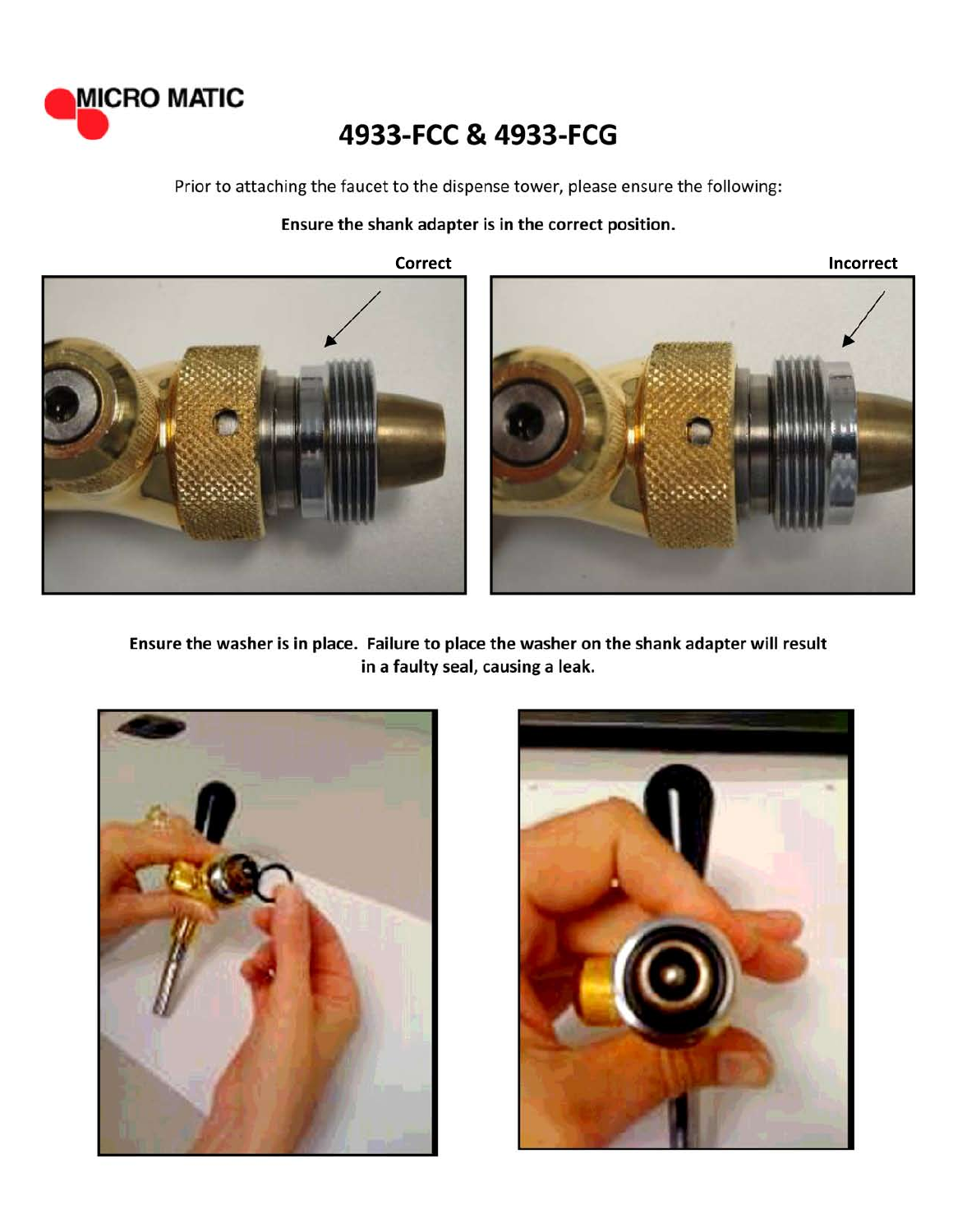

## 4933-FCC & 4933-FCG

Prior to attaching the faucet to the dispense tower, please ensure the following:

## Ensure the shank adapter is in the correct position.

**Correct** 





Ensure the washer is in place. Failure to place the washer on the shank adapter will result in a faulty seal, causing a leak.



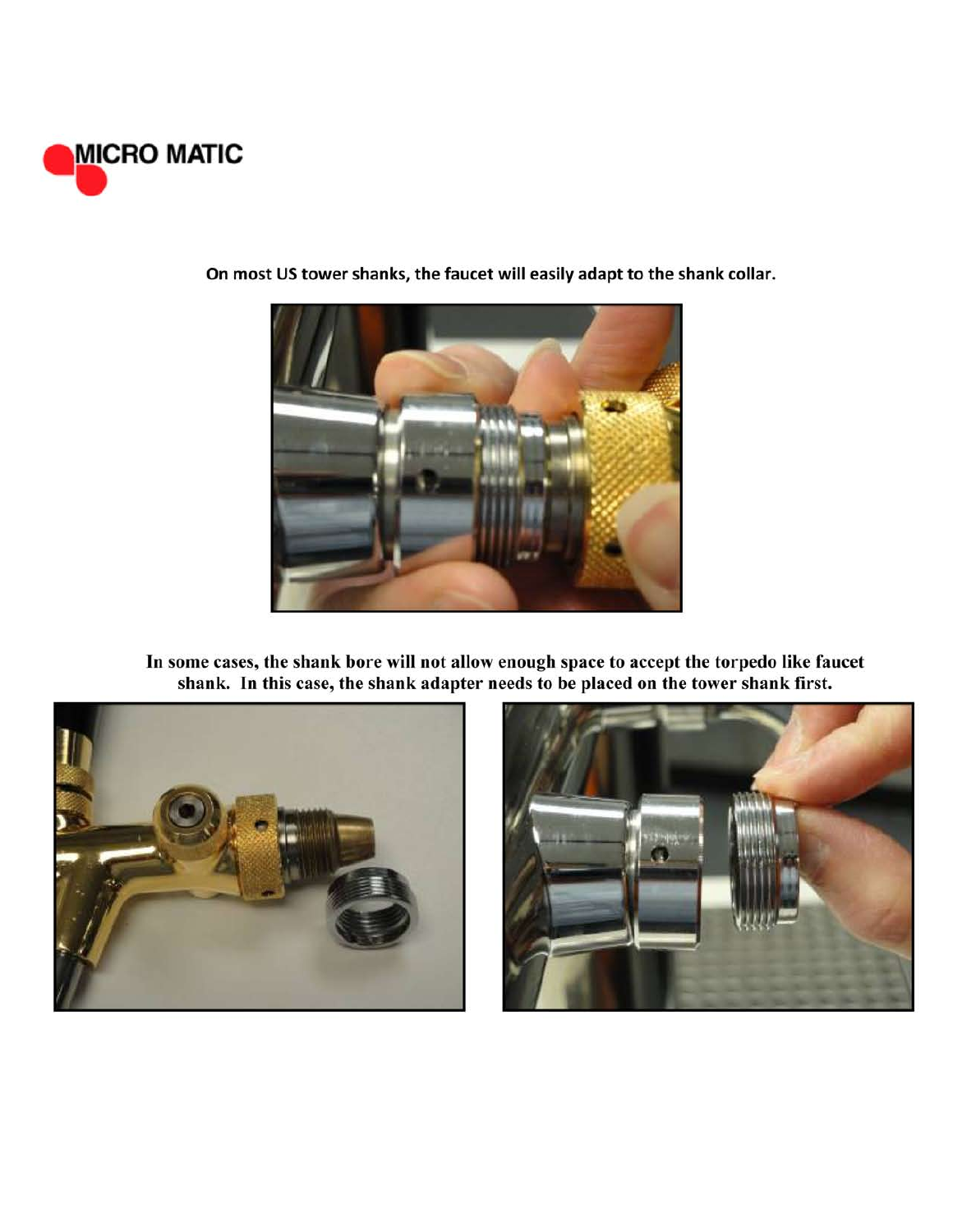



On most US tower shanks, the faucet will easily adapt to the shank collar.

In some cases, the shank bore will not allow enough space to accept the torpedo like faucet shank. In this case, the shank adapter needs to be placed on the tower shank first.